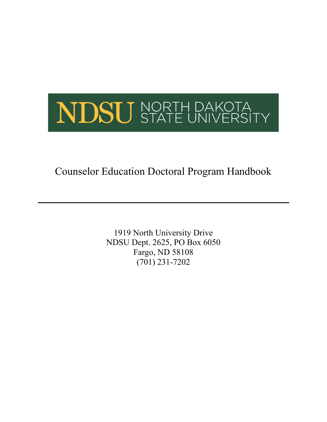

Counselor Education Doctoral Program Handbook

1919 North University Drive NDSU Dept. 2625, PO Box 6050 Fargo, ND 58108 (701) 231-7202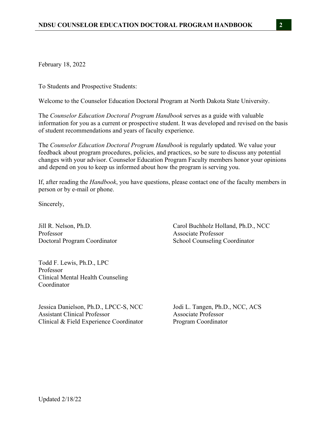February 18, 2022

To Students and Prospective Students:

Welcome to the Counselor Education Doctoral Program at North Dakota State University.

The *Counselor Education Doctoral Program Handbook* serves as a guide with valuable information for you as a current or prospective student. It was developed and revised on the basis of student recommendations and years of faculty experience.

The *Counselor Education Doctoral Program Handbook* is regularly updated. We value your feedback about program procedures, policies, and practices, so be sure to discuss any potential changes with your advisor. Counselor Education Program Faculty members honor your opinions and depend on you to keep us informed about how the program is serving you.

If, after reading the *Handbook*, you have questions, please contact one of the faculty members in person or by e-mail or phone.

Sincerely,

Professor Associate Professor

Todd F. Lewis, Ph.D., LPC Professor Clinical Mental Health Counseling Coordinator

Jessica Danielson, Ph.D., LPCC-S, NCC Jodi L. Tangen, Ph.D., NCC, ACS Assistant Clinical Professor Associate Professor Clinical & Field Experience Coordinator Program Coordinator

Jill R. Nelson, Ph.D. Carol Buchholz Holland, Ph.D., NCC Doctoral Program Coordinator School Counseling Coordinator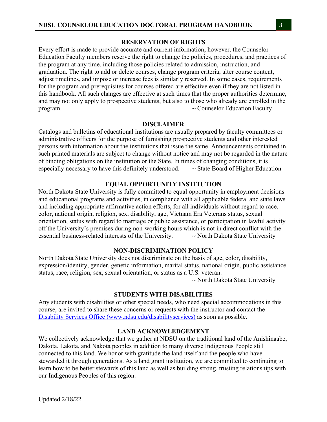#### **RESERVATION OF RIGHTS**

Every effort is made to provide accurate and current information; however, the Counselor Education Faculty members reserve the right to change the policies, procedures, and practices of the program at any time, including those policies related to admission, instruction, and graduation. The right to add or delete courses, change program criteria, alter course content, adjust timelines, and impose or increase fees is similarly reserved. In some cases, requirements for the program and prerequisites for courses offered are effective even if they are not listed in this handbook. All such changes are effective at such times that the proper authorities determine, and may not only apply to prospective students, but also to those who already are enrolled in the program.  $\sim$  Counselor Education Faculty

#### **DISCLAIMER**

Catalogs and bulletins of educational institutions are usually prepared by faculty committees or administrative officers for the purpose of furnishing prospective students and other interested persons with information about the institutions that issue the same. Announcements contained in such printed materials are subject to change without notice and may not be regarded in the nature of binding obligations on the institution or the State. In times of changing conditions, it is especially necessary to have this definitely understood.  $\sim$  State Board of Higher Education

#### **EQUAL OPPORTUNITY INSTITUTION**

North Dakota State University is fully committed to equal opportunity in employment decisions and educational programs and activities, in compliance with all applicable federal and state laws and including appropriate affirmative action efforts, for all individuals without regard to race, color, national origin, religion, sex, disability, age, Vietnam Era Veterans status, sexual orientation, status with regard to marriage or public assistance, or participation in lawful activity off the University's premises during non-working hours which is not in direct conflict with the essential business-related interests of the University.  $\sim$  North Dakota State University

#### **NON-DISCRIMINATION POLICY**

North Dakota State University does not discriminate on the basis of age, color, disability, expression/identity, gender, genetic information, marital status, national origin, public assistance status, race, religion, sex, sexual orientation, or status as a U.S. veteran.

 $\sim$  North Dakota State University

#### **STUDENTS WITH DISABILITIES**

Any students with disabilities or other special needs, who need special accommodations in this course, are invited to share these concerns or requests with the instructor and contact the Disability Services Office (www.ndsu.edu/disabilityservices) as soon as possible.

#### **LAND ACKNOWLEDGEMENT**

We collectively acknowledge that we gather at NDSU on the traditional land of the Anishinaabe, Dakota, Lakota, and Nakota peoples in addition to many diverse Indigenous People still connected to this land. We honor with gratitude the land itself and the people who have stewarded it through generations. As a land grant institution, we are committed to continuing to learn how to be better stewards of this land as well as building strong, trusting relationships with our Indigenous Peoples of this region.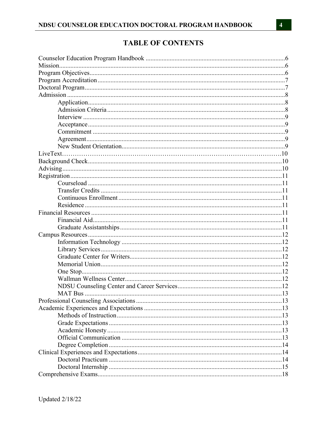# **TABLE OF CONTENTS**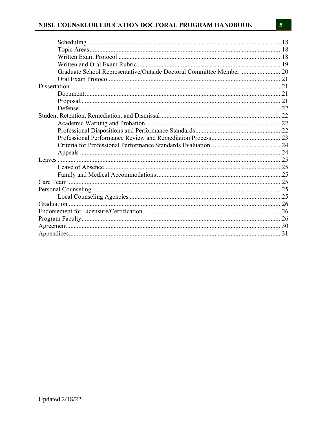| Graduate School Representative/Outside Doctoral Committee Member 20 |  |
|---------------------------------------------------------------------|--|
|                                                                     |  |
|                                                                     |  |
|                                                                     |  |
|                                                                     |  |
|                                                                     |  |
|                                                                     |  |
|                                                                     |  |
|                                                                     |  |
|                                                                     |  |
|                                                                     |  |
|                                                                     |  |
|                                                                     |  |
|                                                                     |  |
|                                                                     |  |
|                                                                     |  |
|                                                                     |  |
|                                                                     |  |
|                                                                     |  |
|                                                                     |  |
|                                                                     |  |
|                                                                     |  |
|                                                                     |  |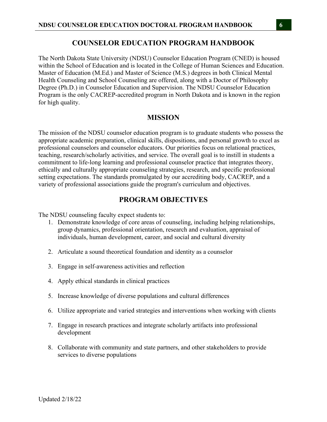#### **COUNSELOR EDUCATION PROGRAM HANDBOOK**

The North Dakota State University (NDSU) Counselor Education Program (CNED) is housed within the School of Education and is located in the College of Human Sciences and Education. Master of Education (M.Ed.) and Master of Science (M.S.) degrees in both Clinical Mental Health Counseling and School Counseling are offered, along with a Doctor of Philosophy Degree (Ph.D.) in Counselor Education and Supervision. The NDSU Counselor Education Program is the only CACREP-accredited program in North Dakota and is known in the region for high quality.

## **MISSION**

The mission of the NDSU counselor education program is to graduate students who possess the appropriate academic preparation, clinical skills, dispositions, and personal growth to excel as professional counselors and counselor educators. Our priorities focus on relational practices, teaching, research/scholarly activities, and service. The overall goal is to instill in students a commitment to life-long learning and professional counselor practice that integrates theory, ethically and culturally appropriate counseling strategies, research, and specific professional setting expectations. The standards promulgated by our accrediting body, CACREP, and a variety of professional associations guide the program's curriculum and objectives.

#### **PROGRAM OBJECTIVES**

The NDSU counseling faculty expect students to:

- 1. Demonstrate knowledge of core areas of counseling, including helping relationships, group dynamics, professional orientation, research and evaluation, appraisal of individuals, human development, career, and social and cultural diversity
- 2. Articulate a sound theoretical foundation and identity as a counselor
- 3. Engage in self-awareness activities and reflection
- 4. Apply ethical standards in clinical practices
- 5. Increase knowledge of diverse populations and cultural differences
- 6. Utilize appropriate and varied strategies and interventions when working with clients
- 7. Engage in research practices and integrate scholarly artifacts into professional development
- 8. Collaborate with community and state partners, and other stakeholders to provide services to diverse populations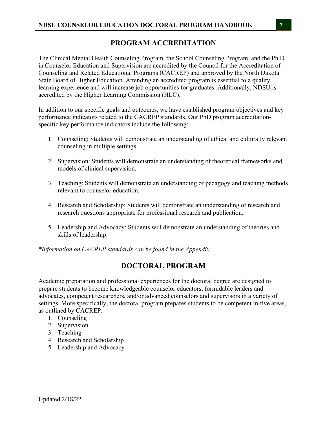## **PROGRAM ACCREDITATION**

The Clinical Mental Health Counseling Program, the School Counseling Program, and the Ph.D. in Counselor Education and Supervision are accredited by the Council for the Accreditation of Counseling and Related Educational Programs (CACREP) and approved by the North Dakota State Board of Higher Education. Attending an accredited program is essential to a quality learning experience and will increase job opportunities for graduates. Additionally, NDSU is accredited by the Higher Learning Commission (HLC).

In addition to our specific goals and outcomes, we have established program objectives and key performance indicators related to the CACREP standards. Our PhD program accreditationspecific key performance indicators include the following:

- 1. Counseling: Students will demonstrate an understanding of ethical and culturally relevant counseling in multiple settings.
- 2. Supervision: Students will demonstrate an understanding of theoretical frameworks and models of clinical supervision.
- 3. Teaching: Students will demonstrate an understanding of pedagogy and teaching methods relevant to counselor education.
- 4. Research and Scholarship: Students will demonstrate an understanding of research and research questions appropriate for professional research and publication.
- 5. Leadership and Advocacy: Students will demonstrate an understanding of theories and skills of leadership.

*\*Information on CACREP standards can be found in the Appendix.*

## **DOCTORAL PROGRAM**

Academic preparation and professional experiences for the doctoral degree are designed to prepare students to become knowledgeable counselor educators, formidable leaders and advocates, competent researchers, and/or advanced counselors and supervisors in a variety of settings. More specifically, the doctoral program prepares students to be competent in five areas, as outlined by CACREP:

- 1. Counseling
- 2. Supervision
- 3. Teaching
- 4. Research and Scholarship
- 5. Leadership and Advocacy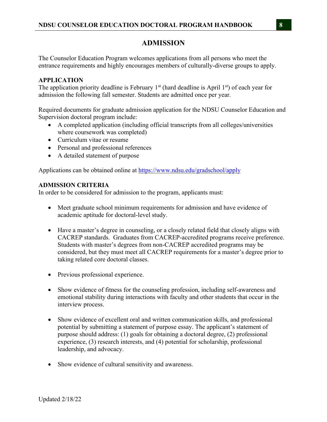## **ADMISSION**

The Counselor Education Program welcomes applications from all persons who meet the entrance requirements and highly encourages members of culturally-diverse groups to apply.

#### **APPLICATION**

The application priority deadline is February  $1<sup>st</sup>$  (hard deadline is April  $1<sup>st</sup>$ ) of each year for admission the following fall semester. Students are admitted once per year.

Required documents for graduate admission application for the NDSU Counselor Education and Supervision doctoral program include:

- A completed application (including official transcripts from all colleges/universities where coursework was completed)
- Curriculum vitae or resume
- Personal and professional references
- A detailed statement of purpose

Applications can be obtained online at https://www.ndsu.edu/gradschool/apply

### **ADMISSION CRITERIA**

In order to be considered for admission to the program, applicants must:

- Meet graduate school minimum requirements for admission and have evidence of academic aptitude for doctoral-level study.
- Have a master's degree in counseling, or a closely related field that closely aligns with CACREP standards. Graduates from CACREP-accredited programs receive preference. Students with master's degrees from non-CACREP accredited programs may be considered, but they must meet all CACREP requirements for a master's degree prior to taking related core doctoral classes.
- Previous professional experience.
- Show evidence of fitness for the counseling profession, including self-awareness and emotional stability during interactions with faculty and other students that occur in the interview process.
- Show evidence of excellent oral and written communication skills, and professional potential by submitting a statement of purpose essay. The applicant's statement of purpose should address: (1) goals for obtaining a doctoral degree, (2) professional experience, (3) research interests, and (4) potential for scholarship, professional leadership, and advocacy.
- Show evidence of cultural sensitivity and awareness.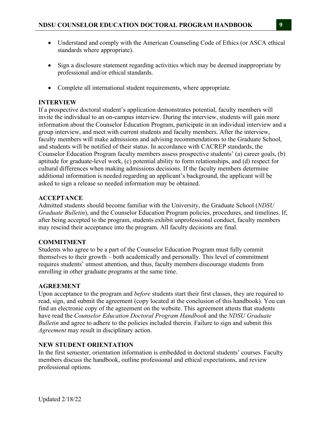- Understand and comply with the American Counseling Code of Ethics (or ASCA ethical standards where appropriate).
- Sign a disclosure statement regarding activities which may be deemed inappropriate by professional and/or ethical standards.
- Complete all international student requirements, where appropriate.

### **INTERVIEW**

If a prospective doctoral student's application demonstrates potential, faculty members will invite the individual to an on-campus interview. During the interview, students will gain more information about the Counselor Education Program, participate in an individual interview and a group interview, and meet with current students and faculty members. After the interview, faculty members will make admissions and advising recommendations to the Graduate School, and students will be notified of their status. In accordance with CACREP standards, the Counselor Education Program faculty members assess prospective students' (a) career goals, (b) aptitude for graduate-level work, (c) potential ability to form relationships, and (d) respect for cultural differences when making admissions decisions. If the faculty members determine additional information is needed regarding an applicant's background, the applicant will be asked to sign a release so needed information may be obtained.

### **ACCEPTANCE**

Admitted students should become familiar with the University, the Graduate School (*NDSU Graduate Bulletin*), and the Counselor Education Program policies, procedures, and timelines. If, after being accepted to the program, students exhibit unprofessional conduct, faculty members may rescind their acceptance into the program. All faculty decisions are final.

## **COMMITMENT**

Students who agree to be a part of the Counselor Education Program must fully commit themselves to their growth – both academically and personally. This level of commitment requires students' utmost attention, and thus, faculty members discourage students from enrolling in other graduate programs at the same time.

#### **AGREEMENT**

Upon acceptance to the program and *before* students start their first classes, they are required to read, sign, and submit the agreement (copy located at the conclusion of this handbook). You can find an electronic copy of the agreement on the website. This agreement attests that students have read the *Counselor Education Doctoral Program Handbook* and the *NDSU Graduate Bulletin* and agree to adhere to the policies included therein. Failure to sign and submit this *Agreement* may result in disciplinary action.

#### **NEW STUDENT ORIENTATION**

In the first semester, orientation information is embedded in doctoral students' courses. Faculty members discuss the handbook, outline professional and ethical expectations, and review professional options.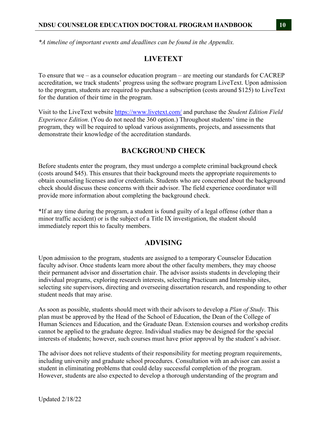### **NDSU COUNSELOR EDUCATION DOCTORAL PROGRAM HANDBOOK 10**

## **LIVETEXT**

To ensure that we – as a counselor education program – are meeting our standards for CACREP accreditation, we track students' progress using the software program LiveText. Upon admission to the program, students are required to purchase a subscription (costs around \$125) to LiveText for the duration of their time in the program.

Visit to the LiveText website https://www.livetext.com/ and purchase the *Student Edition Field Experience Edition*. (You do not need the 360 option.) Throughout students' time in the program, they will be required to upload various assignments, projects, and assessments that demonstrate their knowledge of the accreditation standards.

## **BACKGROUND CHECK**

Before students enter the program, they must undergo a complete criminal background check (costs around \$45). This ensures that their background meets the appropriate requirements to obtain counseling licenses and/or credentials. Students who are concerned about the background check should discuss these concerns with their advisor. The field experience coordinator will provide more information about completing the background check.

\*If at any time during the program, a student is found guilty of a legal offense (other than a minor traffic accident) or is the subject of a Title IX investigation, the student should immediately report this to faculty members.

## **ADVISING**

Upon admission to the program, students are assigned to a temporary Counselor Education faculty advisor. Once students learn more about the other faculty members, they may choose their permanent advisor and dissertation chair. The advisor assists students in developing their individual programs, exploring research interests, selecting Practicum and Internship sites, selecting site supervisors, directing and overseeing dissertation research, and responding to other student needs that may arise.

As soon as possible, students should meet with their advisors to develop a *Plan of Study*. This plan must be approved by the Head of the School of Education, the Dean of the College of Human Sciences and Education, and the Graduate Dean. Extension courses and workshop credits cannot be applied to the graduate degree. Individual studies may be designed for the special interests of students; however, such courses must have prior approval by the student's advisor.

The advisor does not relieve students of their responsibility for meeting program requirements, including university and graduate school procedures. Consultation with an advisor can assist a student in eliminating problems that could delay successful completion of the program. However, students are also expected to develop a thorough understanding of the program and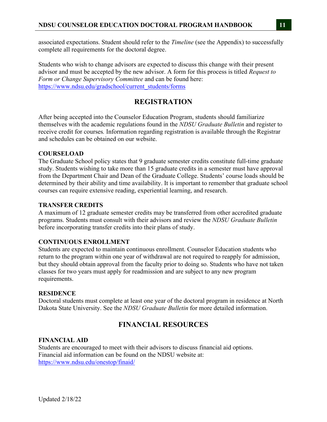associated expectations. Student should refer to the *Timeline* (see the Appendix) to successfully complete all requirements for the doctoral degree.

Students who wish to change advisors are expected to discuss this change with their present advisor and must be accepted by the new advisor. A form for this process is titled *Request to Form or Change Supervisory Committee* and can be found here: https://www.ndsu.edu/gradschool/current\_students/forms

# **REGISTRATION**

After being accepted into the Counselor Education Program, students should familiarize themselves with the academic regulations found in the *NDSU Graduate Bulletin* and register to receive credit for courses*.* Information regarding registration is available through the Registrar and schedules can be obtained on our website.

## **COURSELOAD**

The Graduate School policy states that 9 graduate semester credits constitute full-time graduate study. Students wishing to take more than 15 graduate credits in a semester must have approval from the Department Chair and Dean of the Graduate College. Students' course loads should be determined by their ability and time availability. It is important to remember that graduate school courses can require extensive reading, experiential learning, and research.

## **TRANSFER CREDITS**

A maximum of 12 graduate semester credits may be transferred from other accredited graduate programs. Students must consult with their advisors and review the *NDSU Graduate Bulletin*  before incorporating transfer credits into their plans of study.

## **CONTINUOUS ENROLLMENT**

Students are expected to maintain continuous enrollment. Counselor Education students who return to the program within one year of withdrawal are not required to reapply for admission, but they should obtain approval from the faculty prior to doing so. Students who have not taken classes for two years must apply for readmission and are subject to any new program requirements.

## **RESIDENCE**

Doctoral students must complete at least one year of the doctoral program in residence at North Dakota State University. See the *NDSU Graduate Bulletin* for more detailed information.

# **FINANCIAL RESOURCES**

## **FINANCIAL AID**

Students are encouraged to meet with their advisors to discuss financial aid options. Financial aid information can be found on the NDSU website at: https://www.ndsu.edu/onestop/finaid/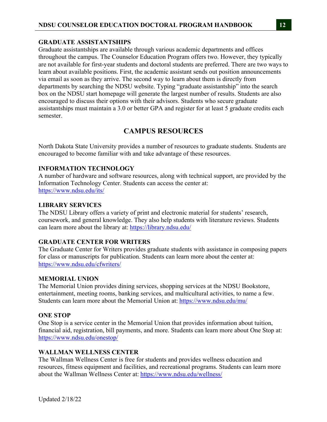### **GRADUATE ASSISTANTSHIPS**

Graduate assistantships are available through various academic departments and offices throughout the campus. The Counselor Education Program offers two. However, they typically are not available for first-year students and doctoral students are preferred. There are two ways to learn about available positions. First, the academic assistant sends out position announcements via email as soon as they arrive. The second way to learn about them is directly from departments by searching the NDSU website. Typing "graduate assistantship" into the search box on the NDSU start homepage will generate the largest number of results. Students are also encouraged to discuss their options with their advisors. Students who secure graduate assistantships must maintain a 3.0 or better GPA and register for at least 5 graduate credits each semester.

## **CAMPUS RESOURCES**

North Dakota State University provides a number of resources to graduate students. Students are encouraged to become familiar with and take advantage of these resources.

#### **INFORMATION TECHNOLOGY**

A number of hardware and software resources, along with technical support, are provided by the Information Technology Center. Students can access the center at: https://www.ndsu.edu/its/

#### **LIBRARY SERVICES**

The NDSU Library offers a variety of print and electronic material for students' research, coursework, and general knowledge. They also help students with literature reviews. Students can learn more about the library at: https://library.ndsu.edu/

#### **GRADUATE CENTER FOR WRITERS**

The Graduate Center for Writers provides graduate students with assistance in composing papers for class or manuscripts for publication. Students can learn more about the center at: https://www.ndsu.edu/cfwriters/

#### **MEMORIAL UNION**

The Memorial Union provides dining services, shopping services at the NDSU Bookstore, entertainment, meeting rooms, banking services, and multicultural activities, to name a few. Students can learn more about the Memorial Union at: https://www.ndsu.edu/mu/

#### **ONE STOP**

One Stop is a service center in the Memorial Union that provides information about tuition, financial aid, registration, bill payments, and more. Students can learn more about One Stop at: https://www.ndsu.edu/onestop/

#### **WALLMAN WELLNESS CENTER**

The Wallman Wellness Center is free for students and provides wellness education and resources, fitness equipment and facilities, and recreational programs. Students can learn more about the Wallman Wellness Center at: https://www.ndsu.edu/wellness/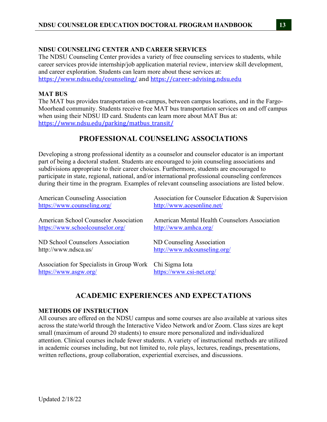## **NDSU COUNSELING CENTER AND CAREER SERVICES**

The NDSU Counseling Center provides a variety of free counseling services to students, while career services provide internship/job application material review, interview skill development, and career exploration. Students can learn more about these services at: https://www.ndsu.edu/counseling/ and https://career-advising.ndsu.edu

### **MAT BUS**

The MAT bus provides transportation on-campus, between campus locations, and in the Fargo-Moorhead community. Students receive free MAT bus transportation services on and off campus when using their NDSU ID card. Students can learn more about MAT Bus at: https://www.ndsu.edu/parking/matbus\_transit/

# **PROFESSIONAL COUNSELING ASSOCIATIONS**

Developing a strong professional identity as a counselor and counselor educator is an important part of being a doctoral student. Students are encouraged to join counseling associations and subdivisions appropriate to their career choices. Furthermore, students are encouraged to participate in state, regional, national, and/or international professional counseling conferences during their time in the program. Examples of relevant counseling associations are listed below.

| <b>American Counseling Association</b>       | Association for Counselor Education & Supervision |
|----------------------------------------------|---------------------------------------------------|
| https://www.counseling.org/                  | http://www.acesonline.net/                        |
| <b>American School Counselor Association</b> | American Mental Health Counselors Association     |
| https://www.schoolcounselor.org/             | http://www.amhca.org/                             |
| ND School Counselors Association             | ND Counseling Association                         |
| http://www.ndsca.us/                         | http://www.ndcounseling.org/                      |
| Association for Specialists in Group Work    | Chi Sigma Iota                                    |
| https://www.asgw.org/                        | https://www.csi-net.org/                          |

# **ACADEMIC EXPERIENCES AND EXPECTATIONS**

#### **METHODS OF INSTRUCTION**

All courses are offered on the NDSU campus and some courses are also available at various sites across the state/world through the Interactive Video Network and/or Zoom. Class sizes are kept small (maximum of around 20 students) to ensure more personalized and individualized attention. Clinical courses include fewer students. A variety of instructional methods are utilized in academic courses including, but not limited to, role plays, lectures, readings, presentations, written reflections, group collaboration, experiential exercises, and discussions.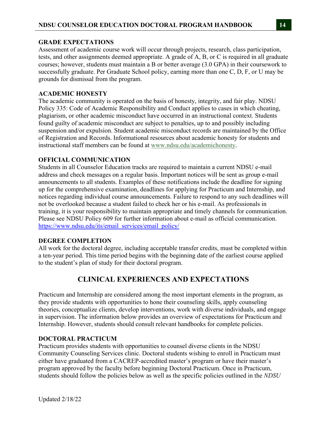### **GRADE EXPECTATIONS**

Assessment of academic course work will occur through projects, research, class participation, tests, and other assignments deemed appropriate. A grade of A, B, or C is required in all graduate courses; however, students must maintain a B or better average (3.0 GPA) in their coursework to successfully graduate. Per Graduate School policy, earning more than one C, D, F, or U may be grounds for dismissal from the program.

### **ACADEMIC HONESTY**

The academic community is operated on the basis of honesty, integrity, and fair play. NDSU Policy 335: Code of Academic Responsibility and Conduct applies to cases in which cheating, plagiarism, or other academic misconduct have occurred in an instructional context. Students found guilty of academic misconduct are subject to penalties, up to and possibly including suspension and/or expulsion. Student academic misconduct records are maintained by the Office of Registration and Records. Informational resources about academic honesty for students and instructional staff members can be found at www.ndsu.edu/academichonesty.

## **OFFICIAL COMMUNICATION**

Students in all Counselor Education tracks are required to maintain a current NDSU e-mail address and check messages on a regular basis. Important notices will be sent as group e-mail announcements to all students. Examples of these notifications include the deadline for signing up for the comprehensive examination, deadlines for applying for Practicum and Internship, and notices regarding individual course announcements. Failure to respond to any such deadlines will not be overlooked because a student failed to check her or his e-mail. As professionals in training, it is your responsibility to maintain appropriate and timely channels for communication. Please see NDSU Policy 609 for further information about e-mail as official communication. https://www.ndsu.edu/its/email\_services/email\_policy/

#### **DEGREE COMPLETION**

All work for the doctoral degree, including acceptable transfer credits, must be completed within a ten-year period. This time period begins with the beginning date of the earliest course applied to the student's plan of study for their doctoral program.

# **CLINICAL EXPERIENCES AND EXPECTATIONS**

Practicum and Internship are considered among the most important elements in the program, as they provide students with opportunities to hone their counseling skills, apply counseling theories, conceptualize clients, develop interventions, work with diverse individuals, and engage in supervision. The information below provides an overview of expectations for Practicum and Internship. However, students should consult relevant handbooks for complete policies.

#### **DOCTORAL PRACTICUM**

Practicum provides students with opportunities to counsel diverse clients in the NDSU Community Counseling Services clinic. Doctoral students wishing to enroll in Practicum must either have graduated from a CACREP-accredited master's program or have their master's program approved by the faculty before beginning Doctoral Practicum. Once in Practicum, students should follow the policies below as well as the specific policies outlined in the *NDSU*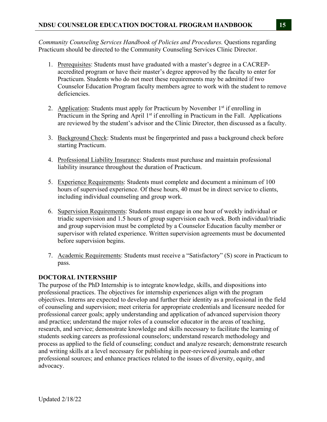*Community Counseling Services Handbook of Policies and Procedures.* Questions regarding Practicum should be directed to the Community Counseling Services Clinic Director.

- 1. Prerequisites: Students must have graduated with a master's degree in a CACREPaccredited program or have their master's degree approved by the faculty to enter for Practicum. Students who do not meet these requirements may be admitted if two Counselor Education Program faculty members agree to work with the student to remove deficiencies.
- 2. Application: Students must apply for Practicum by November  $1<sup>st</sup>$  if enrolling in Practicum in the Spring and April  $1<sup>st</sup>$  if enrolling in Practicum in the Fall. Applications are reviewed by the student's advisor and the Clinic Director, then discussed as a faculty.
- 3. Background Check: Students must be fingerprinted and pass a background check before starting Practicum.
- 4. Professional Liability Insurance: Students must purchase and maintain professional liability insurance throughout the duration of Practicum.
- 5. Experience Requirements: Students must complete and document a minimum of 100 hours of supervised experience. Of these hours, 40 must be in direct service to clients, including individual counseling and group work.
- 6. Supervision Requirements: Students must engage in one hour of weekly individual or triadic supervision and 1.5 hours of group supervision each week. Both individual/triadic and group supervision must be completed by a Counselor Education faculty member or supervisor with related experience. Written supervision agreements must be documented before supervision begins.
- 7. Academic Requirements: Students must receive a "Satisfactory" (S) score in Practicum to pass.

## **DOCTORAL INTERNSHIP**

The purpose of the PhD Internship is to integrate knowledge, skills, and dispositions into professional practices. The objectives for internship experiences align with the program objectives. Interns are expected to develop and further their identity as a professional in the field of counseling and supervision; meet criteria for appropriate credentials and licensure needed for professional career goals; apply understanding and application of advanced supervision theory and practice; understand the major roles of a counselor educator in the areas of teaching, research, and service; demonstrate knowledge and skills necessary to facilitate the learning of students seeking careers as professional counselors; understand research methodology and process as applied to the field of counseling; conduct and analyze research; demonstrate research and writing skills at a level necessary for publishing in peer-reviewed journals and other professional sources; and enhance practices related to the issues of diversity, equity, and advocacy.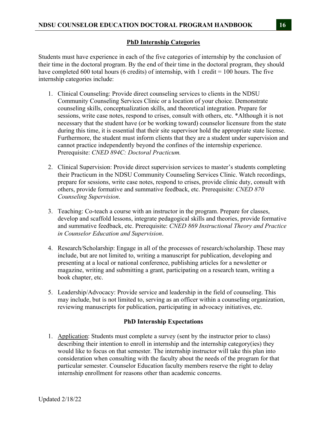## **PhD Internship Categories**

Students must have experience in each of the five categories of internship by the conclusion of their time in the doctoral program. By the end of their time in the doctoral program, they should have completed 600 total hours (6 credits) of internship, with 1 credit = 100 hours. The five internship categories include:

- 1. Clinical Counseling: Provide direct counseling services to clients in the NDSU Community Counseling Services Clinic or a location of your choice. Demonstrate counseling skills, conceptualization skills, and theoretical integration. Prepare for sessions, write case notes, respond to crises, consult with others, etc. \*Although it is not necessary that the student have (or be working toward) counselor licensure from the state during this time, it is essential that their site supervisor hold the appropriate state license. Furthermore, the student must inform clients that they are a student under supervision and cannot practice independently beyond the confines of the internship experience. Prerequisite: *CNED 894C: Doctoral Practicum.*
- 2. Clinical Supervision: Provide direct supervision services to master's students completing their Practicum in the NDSU Community Counseling Services Clinic. Watch recordings, prepare for sessions, write case notes, respond to crises, provide clinic duty, consult with others, provide formative and summative feedback, etc. Prerequisite: *CNED 870 Counseling Supervision*.
- 3. Teaching: Co-teach a course with an instructor in the program. Prepare for classes, develop and scaffold lessons, integrate pedagogical skills and theories, provide formative and summative feedback, etc. Prerequisite: *CNED 869 Instructional Theory and Practice in Counselor Education and Supervision*.
- 4. Research/Scholarship: Engage in all of the processes of research/scholarship. These may include, but are not limited to, writing a manuscript for publication, developing and presenting at a local or national conference, publishing articles for a newsletter or magazine, writing and submitting a grant, participating on a research team, writing a book chapter, etc.
- 5. Leadership/Advocacy: Provide service and leadership in the field of counseling. This may include, but is not limited to, serving as an officer within a counseling organization, reviewing manuscripts for publication, participating in advocacy initiatives, etc.

## **PhD Internship Expectations**

1. Application: Students must complete a survey (sent by the instructor prior to class) describing their intention to enroll in internship and the internship category(ies) they would like to focus on that semester. The internship instructor will take this plan into consideration when consulting with the faculty about the needs of the program for that particular semester. Counselor Education faculty members reserve the right to delay internship enrollment for reasons other than academic concerns.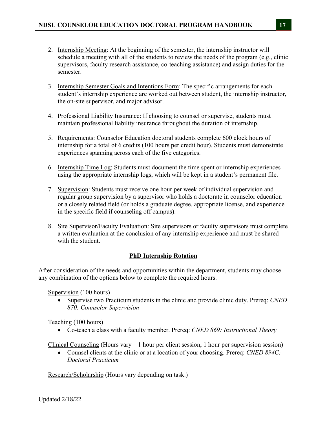- 2. Internship Meeting: At the beginning of the semester, the internship instructor will schedule a meeting with all of the students to review the needs of the program (e.g., clinic supervisors, faculty research assistance, co-teaching assistance) and assign duties for the semester.
- 3. Internship Semester Goals and Intentions Form: The specific arrangements for each student's internship experience are worked out between student, the internship instructor, the on-site supervisor, and major advisor.
- 4. Professional Liability Insurance: If choosing to counsel or supervise, students must maintain professional liability insurance throughout the duration of internship.
- 5. Requirements: Counselor Education doctoral students complete 600 clock hours of internship for a total of 6 credits (100 hours per credit hour). Students must demonstrate experiences spanning across each of the five categories.
- 6. Internship Time Log: Students must document the time spent or internship experiences using the appropriate internship logs, which will be kept in a student's permanent file.
- 7. Supervision: Students must receive one hour per week of individual supervision and regular group supervision by a supervisor who holds a doctorate in counselor education or a closely related field (or holds a graduate degree, appropriate license, and experience in the specific field if counseling off campus).
- 8. Site Supervisor/Faculty Evaluation: Site supervisors or faculty supervisors must complete a written evaluation at the conclusion of any internship experience and must be shared with the student.

## **PhD Internship Rotation**

After consideration of the needs and opportunities within the department, students may choose any combination of the options below to complete the required hours.

Supervision (100 hours)

 Supervise two Practicum students in the clinic and provide clinic duty. Prereq: *CNED 870: Counselor Supervision*

Teaching (100 hours)

Co-teach a class with a faculty member. Prereq: *CNED 869: Instructional Theory*

Clinical Counseling (Hours vary – 1 hour per client session, 1 hour per supervision session)

 Counsel clients at the clinic or at a location of your choosing. Prereq: *CNED 894C: Doctoral Practicum* 

Research/Scholarship (Hours vary depending on task.)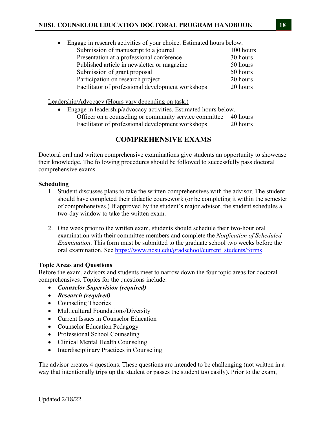| $\bullet$ | Engage in research activities of your choice. Estimated hours below. |           |
|-----------|----------------------------------------------------------------------|-----------|
|           | Submission of manuscript to a journal                                | 100 hours |
|           | Presentation at a professional conference                            | 30 hours  |
|           | Published article in newsletter or magazine                          | 50 hours  |
|           | Submission of grant proposal                                         | 50 hours  |
|           | Participation on research project                                    | 20 hours  |
|           | Facilitator of professional development workshops                    | 20 hours  |

Leadership/Advocacy (Hours vary depending on task.)

 Engage in leadership/advocacy activities. Estimated hours below. Officer on a counseling or community service committee 40 hours Facilitator of professional development workshops 20 hours

## **COMPREHENSIVE EXAMS**

Doctoral oral and written comprehensive examinations give students an opportunity to showcase their knowledge. The following procedures should be followed to successfully pass doctoral comprehensive exams.

#### **Scheduling**

- 1. Student discusses plans to take the written comprehensives with the advisor. The student should have completed their didactic coursework (or be completing it within the semester of comprehensives.) If approved by the student's major advisor, the student schedules a two-day window to take the written exam.
- 2. One week prior to the written exam, students should schedule their two-hour oral examination with their committee members and complete the *Notification of Scheduled Examination*. This form must be submitted to the graduate school two weeks before the oral examination. See https://www.ndsu.edu/gradschool/current\_students/forms

## **Topic Areas and Questions**

Before the exam, advisors and students meet to narrow down the four topic areas for doctoral comprehensives. Topics for the questions include:

- *Counselor Supervision (required)*
- *Research (required)*
- Counseling Theories
- Multicultural Foundations/Diversity
- Current Issues in Counselor Education
- Counselor Education Pedagogy
- Professional School Counseling
- Clinical Mental Health Counseling
- Interdisciplinary Practices in Counseling

The advisor creates 4 questions. These questions are intended to be challenging (not written in a way that intentionally trips up the student or passes the student too easily). Prior to the exam,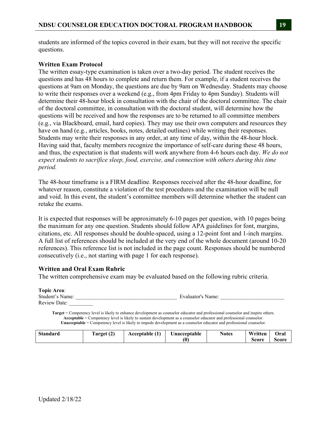students are informed of the topics covered in their exam, but they will not receive the specific questions.

### **Written Exam Protocol**

The written essay-type examination is taken over a two-day period. The student receives the questions and has 48 hours to complete and return them. For example, if a student receives the questions at 9am on Monday, the questions are due by 9am on Wednesday. Students may choose to write their responses over a weekend (e.g., from 4pm Friday to 4pm Sunday). Students will determine their 48-hour block in consultation with the chair of the doctoral committee. The chair of the doctoral committee, in consultation with the doctoral student, will determine how the questions will be received and how the responses are to be returned to all committee members (e.g., via Blackboard, email, hard copies). They may use their own computers and resources they have on hand (e.g., articles, books, notes, detailed outlines) while writing their responses. Students may write their responses in any order, at any time of day, within the 48-hour block. Having said that, faculty members recognize the importance of self-care during these 48 hours, and thus, the expectation is that students will work anywhere from 4-6 hours each day. *We do not expect students to sacrifice sleep, food, exercise, and connection with others during this time period.*

The 48-hour timeframe is a FIRM deadline. Responses received after the 48-hour deadline, for whatever reason, constitute a violation of the test procedures and the examination will be null and void. In this event, the student's committee members will determine whether the student can retake the exams.

It is expected that responses will be approximately 6-10 pages per question, with 10 pages being the maximum for any one question. Students should follow APA guidelines for font, margins, citations, etc. All responses should be double-spaced, using a 12-point font and 1-inch margins. A full list of references should be included at the very end of the whole document (around 10-20 references). This reference list is not included in the page count. Responses should be numbered consecutively (i.e., not starting with page 1 for each response).

## **Written and Oral Exam Rubric**

The written comprehensive exam may be evaluated based on the following rubric criteria.

| <b>Topic Area:</b>  |                   |        |
|---------------------|-------------------|--------|
| Student's Name:     | Evaluator's Name: |        |
| <b>Review Date:</b> |                   |        |
| .                   |                   | .<br>. |

**Target** = Competency level is likely to enhance development as counselor educator and professional counselor and inspire others. **Acceptable** = Competency level is likely to sustain development as a counselor educator and professional counselor. **Unacceptable** = Competency level is likely to impede development as a counselor educator and professional counselor.

| <b>Standard</b> | $i$ arget (2) | Acceptable (1) | Unacceptable | <b>Notes</b> | Written | Oral  |
|-----------------|---------------|----------------|--------------|--------------|---------|-------|
|                 |               |                | (O           |              | Score   | Score |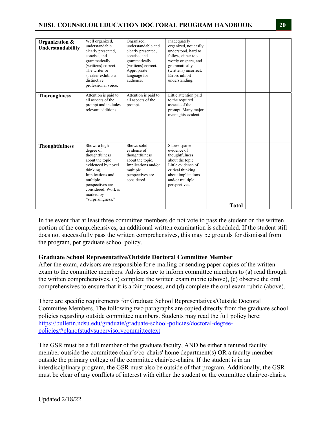## **NDSU COUNSELOR EDUCATION DOCTORAL PROGRAM HANDBOOK 20**

| Organization &<br>Understandability | Well organized,<br>understandable<br>clearly presented,<br>concise, and<br>grammatically<br>(writtens) correct.<br>The writer or<br>speaker exhibits a<br>distinctive<br>professional voice.                   | Organized,<br>understandable and<br>clearly presented,<br>concise, and<br>grammatically<br>(writtens) correct.<br>Appropriate<br>language for<br>audience. | Inadequately<br>organized, not easily<br>understood, hard to<br>follow, either too<br>wordy or spare, and<br>grammatically<br>(writtens) incorrect.<br>Errors inhibit<br>understanding. |              |  |
|-------------------------------------|----------------------------------------------------------------------------------------------------------------------------------------------------------------------------------------------------------------|------------------------------------------------------------------------------------------------------------------------------------------------------------|-----------------------------------------------------------------------------------------------------------------------------------------------------------------------------------------|--------------|--|
| <b>Thoroughness</b>                 | Attention is paid to<br>all aspects of the<br>prompt and includes<br>relevant additions.                                                                                                                       | Attention is paid to<br>all aspects of the<br>prompt.                                                                                                      | Little attention paid<br>to the required<br>aspects of the<br>prompt. Many major<br>oversights evident.                                                                                 |              |  |
| <b>Thoughtfulness</b>               | Shows a high<br>degree of<br>thoughtfulness<br>about the topic<br>evidenced by novel<br>thinking.<br>Implications and<br>multiple<br>perspectives are<br>considered. Work is<br>marked by<br>"surprisingness." | Shows solid<br>evidence of<br>thoughtfulness<br>about the topic.<br>Implications and/or<br>multiple<br>perspectives are<br>considered.                     | Shows sparse<br>evidence of<br>thoughtfulness<br>about the topic.<br>Little evidence of<br>critical thinking<br>about implications<br>and/or multiple<br>perspectives.                  |              |  |
|                                     |                                                                                                                                                                                                                |                                                                                                                                                            |                                                                                                                                                                                         | <b>Total</b> |  |

In the event that at least three committee members do not vote to pass the student on the written portion of the comprehensives, an additional written examination is scheduled. If the student still does not successfully pass the written comprehensives, this may be grounds for dismissal from the program, per graduate school policy.

#### **Graduate School Representative/Outside Doctoral Committee Member**

After the exam, advisors are responsible for e-mailing or sending paper copies of the written exam to the committee members. Advisors are to inform committee members to (a) read through the written comprehensives, (b) complete the written exam rubric (above), (c) observe the oral comprehensives to ensure that it is a fair process, and (d) complete the oral exam rubric (above).

There are specific requirements for Graduate School Representatives/Outside Doctoral Committee Members. The following two paragraphs are copied directly from the graduate school policies regarding outside committee members. Students may read the full policy here: https://bulletin.ndsu.edu/graduate/graduate-school-policies/doctoral-degreepolicies/#planofstudysupervisorycommitteetext

The GSR must be a full member of the graduate faculty, AND be either a tenured faculty member outside the committee chair's/co-chairs' home department(s) OR a faculty member outside the primary college of the committee chair/co-chairs. If the student is in an interdisciplinary program, the GSR must also be outside of that program. Additionally, the GSR must be clear of any conflicts of interest with either the student or the committee chair/co-chairs.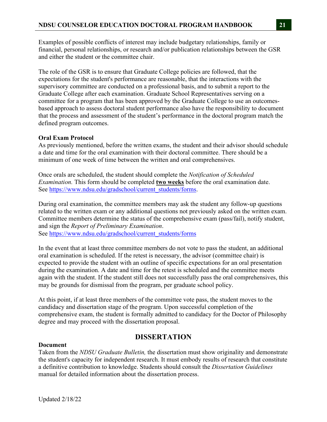Examples of possible conflicts of interest may include budgetary relationships, family or financial, personal relationships, or research and/or publication relationships between the GSR and either the student or the committee chair.

The role of the GSR is to ensure that Graduate College policies are followed, that the expectations for the student's performance are reasonable, that the interactions with the supervisory committee are conducted on a professional basis, and to submit a report to the Graduate College after each examination. Graduate School Representatives serving on a committee for a program that has been approved by the Graduate College to use an outcomesbased approach to assess doctoral student performance also have the responsibility to document that the process and assessment of the student's performance in the doctoral program match the defined program outcomes.

## **Oral Exam Protocol**

As previously mentioned, before the written exams, the student and their advisor should schedule a date and time for the oral examination with their doctoral committee. There should be a minimum of one week of time between the written and oral comprehensives.

Once orals are scheduled, the student should complete the *Notification of Scheduled Examination.* This form should be completed **two weeks** before the oral examination date. See https://www.ndsu.edu/gradschool/current\_students/forms.

During oral examination, the committee members may ask the student any follow-up questions related to the written exam or any additional questions not previously asked on the written exam. Committee members determine the status of the comprehensive exam (pass/fail), notify student, and sign the *Report of Preliminary Examination*. See https://www.ndsu.edu/gradschool/current\_students/forms

In the event that at least three committee members do not vote to pass the student, an additional oral examination is scheduled. If the retest is necessary, the advisor (committee chair) is expected to provide the student with an outline of specific expectations for an oral presentation during the examination. A date and time for the retest is scheduled and the committee meets again with the student. If the student still does not successfully pass the oral comprehensives, this may be grounds for dismissal from the program, per graduate school policy.

At this point, if at least three members of the committee vote pass, the student moves to the candidacy and dissertation stage of the program. Upon successful completion of the comprehensive exam, the student is formally admitted to candidacy for the Doctor of Philosophy degree and may proceed with the dissertation proposal.

## **DISSERTATION**

## **Document**

Taken from the *NDSU Graduate Bulletin,* the dissertation must show originality and demonstrate the student's capacity for independent research. It must embody results of research that constitute a definitive contribution to knowledge. Students should consult the *Dissertation Guidelines* manual for detailed information about the dissertation process.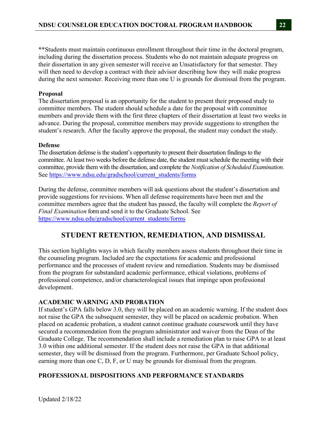\*\*Students must maintain continuous enrollment throughout their time in the doctoral program, including during the dissertation process. Students who do not maintain adequate progress on their dissertation in any given semester will receive an Unsatisfactory for that semester. They will then need to develop a contract with their advisor describing how they will make progress during the next semester. Receiving more than one U is grounds for dismissal from the program.

#### **Proposal**

The dissertation proposal is an opportunity for the student to present their proposed study to committee members. The student should schedule a date for the proposal with committee members and provide them with the first three chapters of their dissertation at least two weeks in advance. During the proposal, committee members may provide suggestions to strengthen the student's research. After the faculty approve the proposal, the student may conduct the study.

#### **Defense**

The dissertation defense is the student's opportunity to present their dissertation findings to the committee. At least two weeks before the defense date, the student must schedule the meeting with their committee, provide them with the dissertation, and complete the *Notification of Scheduled Examination.*  See https://www.ndsu.edu/gradschool/current\_students/forms

During the defense, committee members will ask questions about the student's dissertation and provide suggestions for revisions. When all defense requirements have been met and the committee members agree that the student has passed, the faculty will complete the *Report of Final Examination* form and send it to the Graduate School. See https://www.ndsu.edu/gradschool/current\_students/forms

## **STUDENT RETENTION, REMEDIATION, AND DISMISSAL**

This section highlights ways in which faculty members assess students throughout their time in the counseling program. Included are the expectations for academic and professional performance and the processes of student review and remediation. Students may be dismissed from the program for substandard academic performance, ethical violations, problems of professional competence, and/or characterological issues that impinge upon professional development.

#### **ACADEMIC WARNING AND PROBATION**

If student's GPA falls below 3.0, they will be placed on an academic warning. If the student does not raise the GPA the subsequent semester, they will be placed on academic probation. When placed on academic probation, a student cannot continue graduate coursework until they have secured a recommendation from the program administrator and waiver from the Dean of the Graduate College. The recommendation shall include a remediation plan to raise GPA to at least 3.0 within one additional semester. If the student does not raise the GPA in that additional semester, they will be dismissed from the program. Furthermore, per Graduate School policy, earning more than one C, D, F, or U may be grounds for dismissal from the program.

## **PROFESSIONAL DISPOSITIONS AND PERFORMANCE STANDARDS**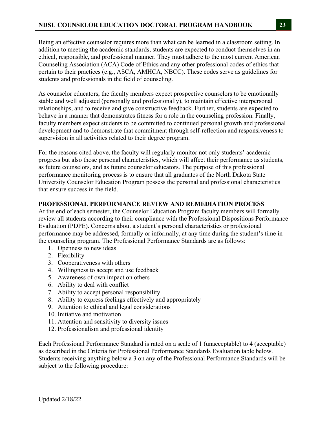Being an effective counselor requires more than what can be learned in a classroom setting. In addition to meeting the academic standards, students are expected to conduct themselves in an ethical, responsible, and professional manner. They must adhere to the most current American Counseling Association (ACA) Code of Ethics and any other professional codes of ethics that pertain to their practices (e.g., ASCA, AMHCA, NBCC). These codes serve as guidelines for students and professionals in the field of counseling.

As counselor educators, the faculty members expect prospective counselors to be emotionally stable and well adjusted (personally and professionally), to maintain effective interpersonal relationships, and to receive and give constructive feedback. Further, students are expected to behave in a manner that demonstrates fitness for a role in the counseling profession. Finally, faculty members expect students to be committed to continued personal growth and professional development and to demonstrate that commitment through self-reflection and responsiveness to supervision in all activities related to their degree program.

For the reasons cited above, the faculty will regularly monitor not only students' academic progress but also those personal characteristics, which will affect their performance as students, as future counselors, and as future counselor educators. The purpose of this professional performance monitoring process is to ensure that all graduates of the North Dakota State University Counselor Education Program possess the personal and professional characteristics that ensure success in the field.

### **PROFESSIONAL PERFORMANCE REVIEW AND REMEDIATION PROCESS**

At the end of each semester, the Counselor Education Program faculty members will formally review all students according to their compliance with the Professional Dispositions Performance Evaluation (PDPE). Concerns about a student's personal characteristics or professional performance may be addressed, formally or informally, at any time during the student's time in the counseling program. The Professional Performance Standards are as follows:

- 1. Openness to new ideas
- 2. Flexibility
- 3. Cooperativeness with others
- 4. Willingness to accept and use feedback
- 5. Awareness of own impact on others
- 6. Ability to deal with conflict
- 7. Ability to accept personal responsibility
- 8. Ability to express feelings effectively and appropriately
- 9. Attention to ethical and legal considerations
- 10. Initiative and motivation
- 11. Attention and sensitivity to diversity issues
- 12. Professionalism and professional identity

Each Professional Performance Standard is rated on a scale of 1 (unacceptable) to 4 (acceptable) as described in the Criteria for Professional Performance Standards Evaluation table below. Students receiving anything below a 3 on any of the Professional Performance Standards will be subject to the following procedure: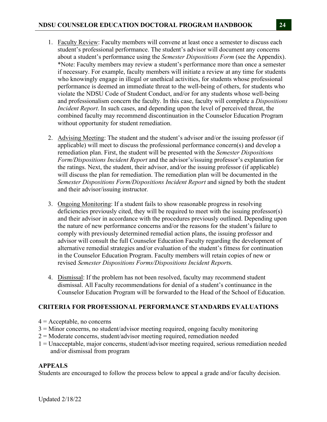- 1. Faculty Review: Faculty members will convene at least once a semester to discuss each student's professional performance. The student's advisor will document any concerns about a student's performance using the *Semester Dispositions Form* (see the Appendix). \*Note: Faculty members may review a student's performance more than once a semester if necessary. For example, faculty members will initiate a review at any time for students who knowingly engage in illegal or unethical activities, for students whose professional performance is deemed an immediate threat to the well-being of others, for students who violate the NDSU Code of Student Conduct, and/or for any students whose well-being and professionalism concern the faculty. In this case, faculty will complete a *Dispositions Incident Report*. In such cases, and depending upon the level of perceived threat, the combined faculty may recommend discontinuation in the Counselor Education Program without opportunity for student remediation.
- 2. Advising Meeting: The student and the student's advisor and/or the issuing professor (if applicable) will meet to discuss the professional performance concern(s) and develop a remediation plan. First, the student will be presented with the *Semester Dispositions Form/Dispositions Incident Report* and the advisor's/issuing professor's explanation for the ratings. Next, the student, their advisor, and/or the issuing professor (if applicable) will discuss the plan for remediation. The remediation plan will be documented in the *Semester Dispositions Form/Dispositions Incident Report* and signed by both the student and their advisor/issuing instructor*.*
- 3. Ongoing Monitoring: If a student fails to show reasonable progress in resolving deficiencies previously cited, they will be required to meet with the issuing professor(s) and their advisor in accordance with the procedures previously outlined. Depending upon the nature of new performance concerns and/or the reasons for the student's failure to comply with previously determined remedial action plans, the issuing professor and advisor will consult the full Counselor Education Faculty regarding the development of alternative remedial strategies and/or evaluation of the student's fitness for continuation in the Counselor Education Program. Faculty members will retain copies of new or revised *Semester Dispositions Forms/Dispositions Incident Report*s.
- 4. Dismissal: If the problem has not been resolved, faculty may recommend student dismissal. All Faculty recommendations for denial of a student's continuance in the Counselor Education Program will be forwarded to the Head of the School of Education.

## **CRITERIA FOR PROFESSIONAL PERFORMANCE STANDARDS EVALUATIONS**

- $4 =$  Acceptable, no concerns
- 3 = Minor concerns, no student/advisor meeting required, ongoing faculty monitoring
- 2 = Moderate concerns, student/advisor meeting required, remediation needed
- 1 = Unacceptable, major concerns, student/advisor meeting required, serious remediation needed and/or dismissal from program

## **APPEALS**

Students are encouraged to follow the process below to appeal a grade and/or faculty decision.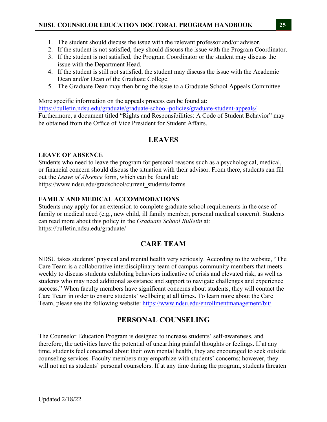- 1. The student should discuss the issue with the relevant professor and/or advisor.
- 2. If the student is not satisfied, they should discuss the issue with the Program Coordinator.
- 3. If the student is not satisfied, the Program Coordinator or the student may discuss the issue with the Department Head.
- 4. If the student is still not satisfied, the student may discuss the issue with the Academic Dean and/or Dean of the Graduate College.
- 5. The Graduate Dean may then bring the issue to a Graduate School Appeals Committee.

More specific information on the appeals process can be found at: https://bulletin.ndsu.edu/graduate/graduate-school-policies/graduate-student-appeals/ Furthermore, a document titled "Rights and Responsibilities: A Code of Student Behavior" may be obtained from the Office of Vice President for Student Affairs.

# **LEAVES**

## **LEAVE OF ABSENCE**

Students who need to leave the program for personal reasons such as a psychological, medical, or financial concern should discuss the situation with their advisor. From there, students can fill out the *Leave of Absence* form, which can be found at: https://www.ndsu.edu/gradschool/current\_students/forms

## **FAMILY AND MEDICAL ACCOMMODATIONS**

Students may apply for an extension to complete graduate school requirements in the case of family or medical need (e.g., new child, ill family member, personal medical concern). Students can read more about this policy in the *Graduate School Bulletin* at: https://bulletin.ndsu.edu/graduate/

# **CARE TEAM**

NDSU takes students' physical and mental health very seriously. According to the website, "The Care Team is a collaborative interdisciplinary team of campus-community members that meets weekly to discuss students exhibiting behaviors indicative of crisis and elevated risk, as well as students who may need additional assistance and support to navigate challenges and experience success." When faculty members have significant concerns about students, they will contact the Care Team in order to ensure students' wellbeing at all times. To learn more about the Care Team, please see the following website: https://www.ndsu.edu/enrollmentmanagement/bit/

# **PERSONAL COUNSELING**

The Counselor Education Program is designed to increase students' self-awareness, and therefore, the activities have the potential of unearthing painful thoughts or feelings. If at any time, students feel concerned about their own mental health, they are encouraged to seek outside counseling services. Faculty members may empathize with students' concerns; however, they will not act as students' personal counselors. If at any time during the program, students threaten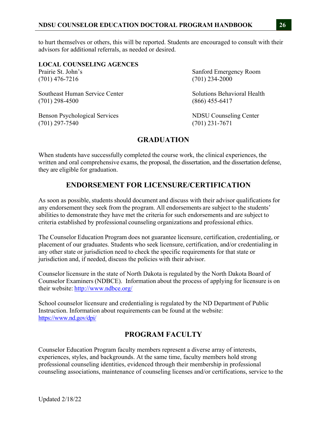to hurt themselves or others, this will be reported. Students are encouraged to consult with their advisors for additional referrals, as needed or desired.

## **LOCAL COUNSELING AGENCES**

(701) 476-7216 (701) 234-2000

Southeast Human Service Center Solutions Behavioral Health (701) 298-4500 (866) 455-6417

Benson Psychological Services NDSU Counseling Center (701) 297-7540 (701) 231-7671

Prairie St. John's Sanford Emergency Room

# **GRADUATION**

When students have successfully completed the course work, the clinical experiences, the written and oral comprehensive exams, the proposal, the dissertation, and the dissertation defense, they are eligible for graduation.

## **ENDORSEMENT FOR LICENSURE/CERTIFICATION**

As soon as possible, students should document and discuss with their advisor qualifications for any endorsement they seek from the program. All endorsements are subject to the students' abilities to demonstrate they have met the criteria for such endorsements and are subject to criteria established by professional counseling organizations and professional ethics.

The Counselor Education Program does not guarantee licensure, certification, credentialing, or placement of our graduates. Students who seek licensure, certification, and/or credentialing in any other state or jurisdiction need to check the specific requirements for that state or jurisdiction and, if needed, discuss the policies with their advisor.

Counselor licensure in the state of North Dakota is regulated by the North Dakota Board of Counselor Examiners (NDBCE). Information about the process of applying for licensure is on their website: http://www.ndbce.org/

School counselor licensure and credentialing is regulated by the ND Department of Public Instruction. Information about requirements can be found at the website: https://www.nd.gov/dpi/

## **PROGRAM FACULTY**

Counselor Education Program faculty members represent a diverse array of interests, experiences, styles, and backgrounds. At the same time, faculty members hold strong professional counseling identities, evidenced through their membership in professional counseling associations, maintenance of counseling licenses and/or certifications, service to the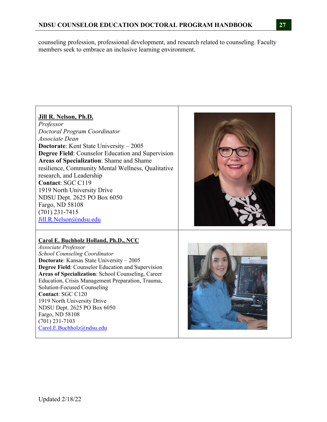counseling profession, professional development, and research related to counseling. Faculty members seek to embrace an inclusive learning environment.

## **Jill R. Nelson, Ph.D.**

*Professor Doctoral Program Coordinator Associate Dean*  **Doctorate**: Kent State University – 2005 **Degree Field**: Counselor Education and Supervision **Areas of Specialization**: Shame and Shame resilience, Community Mental Wellness, Qualitative research, and Leadership **Contact**: SGC C119 1919 North University Drive NDSU Dept. 2625 PO Box 6050 Fargo, ND 58108 (701) 231-7415 Jill.R.Nelson@ndsu.edu

## **Carol E. Buchholz Holland, Ph.D., NCC**

*Associate Professor School Counseling Coordinator*  **Doctorate**: Kansas State University – 2005 **Degree Field**: Counselor Education and Supervision **Areas of Specialization**: School Counseling, Career Education, Crisis Management Preparation, Trauma, Solution-Focused Counseling **Contact**: SGC C120 1919 North University Drive NDSU Dept. 2625 PO Box 6050 Fargo, ND 58108 (701) 231-7103 Carol.E.Buchholz@ndsu.edu



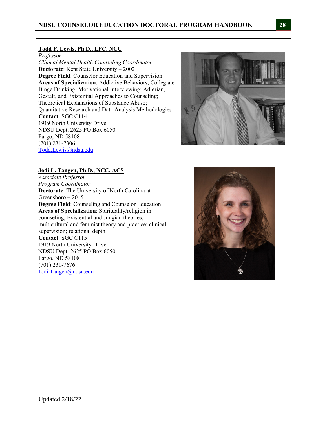#### **Todd F. Lewis, Ph.D., LPC, NCC**

*Professor* 

*Clinical Mental Health Counseling Coordinator*  **Doctorate**: Kent State University – 2002 **Degree Field**: Counselor Education and Supervision **Areas of Specialization**: Addictive Behaviors; Collegiate Binge Drinking; Motivational Interviewing; Adlerian, Gestalt, and Existential Approaches to Counseling; Theoretical Explanations of Substance Abuse; Quantitative Research and Data Analysis Methodologies **Contact**: SGC C114 1919 North University Drive NDSU Dept. 2625 PO Box 6050 Fargo, ND 58108 (701) 231-7306 Todd.Lewis@ndsu.edu

## **Jodi L. Tangen, Ph.D., NCC, ACS**

*Associate Professor Program Coordinator*  **Doctorate**: The University of North Carolina at Greensboro – 2015 **Degree Field**: Counseling and Counselor Education **Areas of Specialization**: Spirituality/religion in counseling; Existential and Jungian theories; multicultural and feminist theory and practice; clinical supervision; relational depth **Contact**: SGC C115 1919 North University Drive NDSU Dept. 2625 PO Box 6050 Fargo, ND 58108 (701) 231-7676 Jodi.Tangen@ndsu.edu



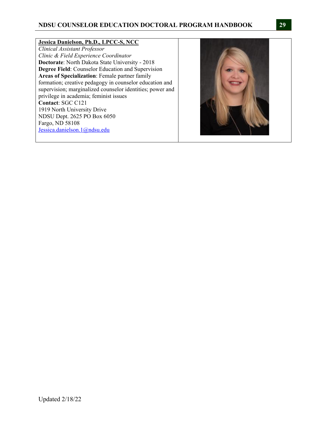#### **Jessica Danielson, Ph.D., LPCC-S, NCC**

*Clinical Assistant Professor Clinic & Field Experience Coordinator*  **Doctorate**: North Dakota State University - 2018 **Degree Field**: Counselor Education and Supervision **Areas of Specialization**: Female partner family formation; creative pedagogy in counselor education and supervision; marginalized counselor identities; power and privilege in academia; feminist issues **Contact**: SGC C121 1919 North University Drive NDSU Dept. 2625 PO Box 6050 Fargo, ND 58108 Jessica.danielson.1@ndsu.edu

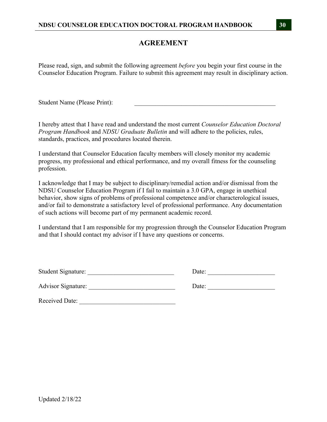## **AGREEMENT**

Please read, sign, and submit the following agreement *before* you begin your first course in the Counselor Education Program. Failure to submit this agreement may result in disciplinary action.

Student Name (Please Print):

I hereby attest that I have read and understand the most current *Counselor Education Doctoral Program Handbook* and *NDSU Graduate Bulletin* and will adhere to the policies, rules, standards, practices, and procedures located therein.

I understand that Counselor Education faculty members will closely monitor my academic progress, my professional and ethical performance, and my overall fitness for the counseling profession.

I acknowledge that I may be subject to disciplinary/remedial action and/or dismissal from the NDSU Counselor Education Program if I fail to maintain a 3.0 GPA, engage in unethical behavior, show signs of problems of professional competence and/or characterological issues, and/or fail to demonstrate a satisfactory level of professional performance. Any documentation of such actions will become part of my permanent academic record.

I understand that I am responsible for my progression through the Counselor Education Program and that I should contact my advisor if I have any questions or concerns.

| <b>Student Signature:</b> |  |
|---------------------------|--|
|                           |  |

Advisor Signature: \_\_\_\_\_\_\_\_\_\_\_\_\_\_\_\_\_\_\_\_\_\_\_\_\_\_\_ Date: \_\_\_\_\_\_\_\_\_\_\_\_\_\_\_\_\_\_\_\_\_

Received Date: \_\_\_\_\_\_\_\_\_\_\_\_\_\_\_\_\_\_\_\_\_\_\_\_\_\_\_\_\_\_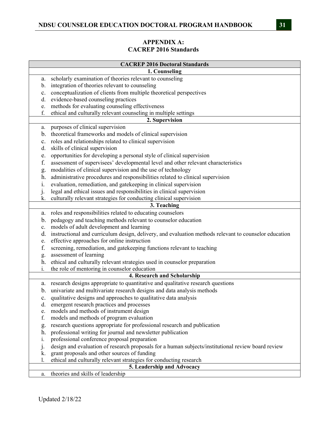## **APPENDIX A: CACREP 2016 Standards**

|                | <b>CACREP 2016 Doctoral Standards</b>                                                                 |
|----------------|-------------------------------------------------------------------------------------------------------|
|                | 1. Counseling                                                                                         |
| a.             | scholarly examination of theories relevant to counseling                                              |
| b.             | integration of theories relevant to counseling                                                        |
| $\mathbf{c}$ . | conceptualization of clients from multiple theoretical perspectives                                   |
| d.             | evidence-based counseling practices                                                                   |
| e.             | methods for evaluating counseling effectiveness                                                       |
| f.             | ethical and culturally relevant counseling in multiple settings                                       |
|                | 2. Supervision                                                                                        |
| a.             | purposes of clinical supervision                                                                      |
| b.             | theoretical frameworks and models of clinical supervision                                             |
| c.             | roles and relationships related to clinical supervision                                               |
| d.             | skills of clinical supervision                                                                        |
| e.             | opportunities for developing a personal style of clinical supervision                                 |
| f.             | assessment of supervisees' developmental level and other relevant characteristics                     |
| g.             | modalities of clinical supervision and the use of technology                                          |
| h.             | administrative procedures and responsibilities related to clinical supervision                        |
| i.             | evaluation, remediation, and gatekeeping in clinical supervision                                      |
| $\mathbf{j}$ . | legal and ethical issues and responsibilities in clinical supervision                                 |
| k.             | culturally relevant strategies for conducting clinical supervision                                    |
|                | 3. Teaching                                                                                           |
| a.             | roles and responsibilities related to educating counselors                                            |
| b.             | pedagogy and teaching methods relevant to counselor education                                         |
| c.             | models of adult development and learning                                                              |
| d.             | instructional and curriculum design, delivery, and evaluation methods relevant to counselor education |
| e.             | effective approaches for online instruction                                                           |
| f.             | screening, remediation, and gatekeeping functions relevant to teaching                                |
| g.             | assessment of learning                                                                                |
| h.             | ethical and culturally relevant strategies used in counselor preparation                              |
| i.             | the role of mentoring in counselor education                                                          |
|                | 4. Research and Scholarship                                                                           |
| a.             | research designs appropriate to quantitative and qualitative research questions                       |
|                | b. univariate and multivariate research designs and data analysis methods                             |
|                | qualitative designs and approaches to qualitative data analysis                                       |
| d.             | emergent research practices and processes                                                             |
| e.             | models and methods of instrument design                                                               |
| f.             | models and methods of program evaluation                                                              |
| g.             | research questions appropriate for professional research and publication                              |
| h.             | professional writing for journal and newsletter publication                                           |
| 1.             | professional conference proposal preparation                                                          |
| $\mathbf{j}$ . | design and evaluation of research proposals for a human subjects/institutional review board review    |
| k.             | grant proposals and other sources of funding                                                          |
| 1.             | ethical and culturally relevant strategies for conducting research                                    |
|                | 5. Leadership and Advocacy                                                                            |
| a.             | theories and skills of leadership                                                                     |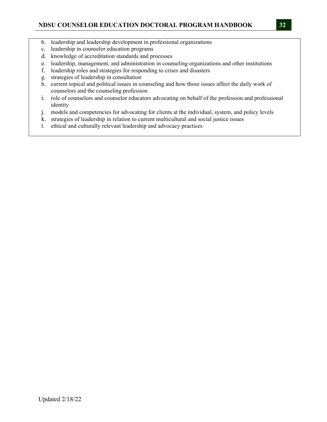- b. leadership and leadership development in professional organizations
- c. leadership in counselor education programs
- d. knowledge of accreditation standards and processes
- e. leadership, management, and administration in counseling organizations and other institutions
- f. leadership roles and strategies for responding to crises and disasters
- g. strategies of leadership in consultation
- h. current topical and political issues in counseling and how those issues affect the daily work of counselors and the counseling profession
- i. role of counselors and counselor educators advocating on behalf of the profession and professional identity
- j. models and competencies for advocating for clients at the individual, system, and policy levels
- k. strategies of leadership in relation to current multicultural and social justice issues
- l. ethical and culturally relevant leadership and advocacy practices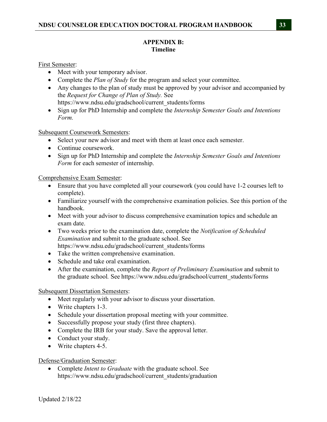### **APPENDIX B: Timeline**

First Semester:

- Meet with your temporary advisor.
- Complete the *Plan of Study* for the program and select your committee.
- Any changes to the plan of study must be approved by your advisor and accompanied by the *Request for Change of Plan of Study.* See https://www.ndsu.edu/gradschool/current\_students/forms
- Sign up for PhD Internship and complete the *Internship Semester Goals and Intentions Form.*

Subsequent Coursework Semesters:

- Select your new advisor and meet with them at least once each semester.
- Continue coursework.
- Sign up for PhD Internship and complete the *Internship Semester Goals and Intentions Form* for each semester of internship.

Comprehensive Exam Semester:

- Ensure that you have completed all your coursework (you could have 1-2 courses left to complete).
- Familiarize yourself with the comprehensive examination policies. See this portion of the handbook.
- Meet with your advisor to discuss comprehensive examination topics and schedule an exam date.
- Two weeks prior to the examination date, complete the *Notification of Scheduled Examination* and submit to the graduate school. See https://www.ndsu.edu/gradschool/current\_students/forms
- Take the written comprehensive examination.
- Schedule and take oral examination.
- After the examination, complete the *Report of Preliminary Examination* and submit to the graduate school*.* See https://www.ndsu.edu/gradschool/current\_students/forms

Subsequent Dissertation Semesters:

- Meet regularly with your advisor to discuss your dissertation.
- Write chapters 1-3.
- Schedule your dissertation proposal meeting with your committee.
- Successfully propose your study (first three chapters).
- Complete the IRB for your study. Save the approval letter.
- Conduct your study.
- Write chapters 4-5.

#### Defense/Graduation Semester:

 Complete *Intent to Graduate* with the graduate school. See https://www.ndsu.edu/gradschool/current\_students/graduation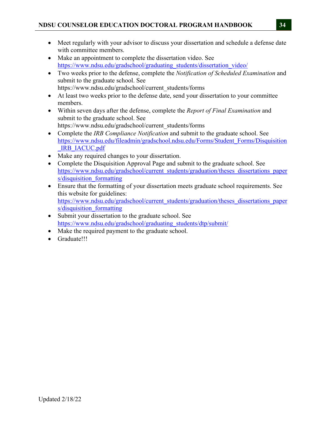- Meet regularly with your advisor to discuss your dissertation and schedule a defense date with committee members.
- Make an appointment to complete the dissertation video. See https://www.ndsu.edu/gradschool/graduating\_students/dissertation\_video/
- Two weeks prior to the defense, complete the *Notification of Scheduled Examination* and submit to the graduate school. See https://www.ndsu.edu/gradschool/current\_students/forms
- At least two weeks prior to the defense date, send your dissertation to your committee members.
- Within seven days after the defense, complete the *Report of Final Examination* and submit to the graduate school. See https://www.ndsu.edu/gradschool/current\_students/forms
- Complete the *IRB Compliance Notification* and submit to the graduate school. See https://www.ndsu.edu/fileadmin/gradschool.ndsu.edu/Forms/Student\_Forms/Disquisition IRB\_IACUC.pdf
- Make any required changes to your dissertation.
- Complete the Disquisition Approval Page and submit to the graduate school. See https://www.ndsu.edu/gradschool/current\_students/graduation/theses\_dissertations\_paper s/disquisition formatting
- Ensure that the formatting of your dissertation meets graduate school requirements. See this website for guidelines: https://www.ndsu.edu/gradschool/current\_students/graduation/theses\_dissertations\_paper s/disquisition formatting
- Submit your dissertation to the graduate school. See https://www.ndsu.edu/gradschool/graduating\_students/dtp/submit/
- Make the required payment to the graduate school.
- Graduate!!!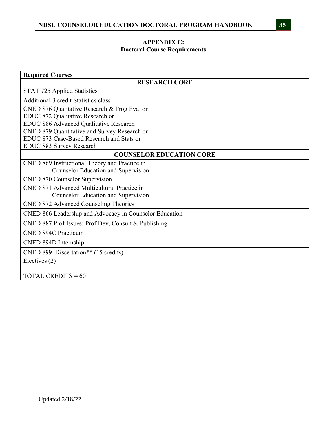## **APPENDIX C: Doctoral Course Requirements**

| <b>Required Courses</b>                                 |  |  |  |
|---------------------------------------------------------|--|--|--|
| <b>RESEARCH CORE</b>                                    |  |  |  |
| STAT 725 Applied Statistics                             |  |  |  |
| <b>Additional 3 credit Statistics class</b>             |  |  |  |
| CNED 876 Qualitative Research & Prog Eval or            |  |  |  |
| EDUC 872 Qualitative Research or                        |  |  |  |
| EDUC 886 Advanced Qualitative Research                  |  |  |  |
| CNED 879 Quantitative and Survey Research or            |  |  |  |
| EDUC 873 Case-Based Research and Stats or               |  |  |  |
| <b>EDUC 883 Survey Research</b>                         |  |  |  |
| <b>COUNSELOR EDUCATION CORE</b>                         |  |  |  |
| CNED 869 Instructional Theory and Practice in           |  |  |  |
| <b>Counselor Education and Supervision</b>              |  |  |  |
| <b>CNED 870 Counselor Supervision</b>                   |  |  |  |
| CNED 871 Advanced Multicultural Practice in             |  |  |  |
| <b>Counselor Education and Supervision</b>              |  |  |  |
| CNED 872 Advanced Counseling Theories                   |  |  |  |
| CNED 866 Leadership and Advocacy in Counselor Education |  |  |  |
| CNED 887 Prof Issues: Prof Dev, Consult & Publishing    |  |  |  |
| <b>CNED 894C Practicum</b>                              |  |  |  |
| CNED 894D Internship                                    |  |  |  |
| CNED 899 Dissertation** (15 credits)                    |  |  |  |
| Electives (2)                                           |  |  |  |
|                                                         |  |  |  |
| <b>TOTAL CREDITS = 60</b>                               |  |  |  |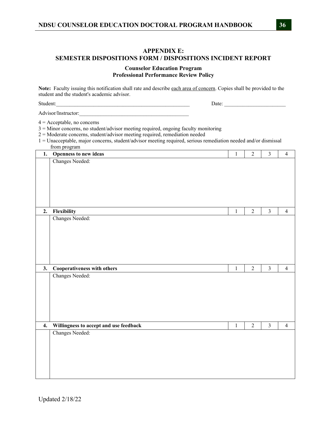### **APPENDIX E: SEMESTER DISPOSITIONS FORM / DISPOSITIONS INCIDENT REPORT**

#### **Counselor Education Program Professional Performance Review Policy**

**Note:** Faculty issuing this notification shall rate and describe each area of concern. Copies shall be provided to the student and the student's academic advisor.

Student:\_\_\_\_\_\_\_\_\_\_\_\_\_\_\_\_\_\_\_\_\_\_\_\_\_\_\_\_\_\_\_\_\_\_\_\_\_\_\_\_\_\_\_\_\_\_\_\_\_\_ Date: \_\_\_\_\_\_\_\_\_\_\_\_\_\_\_\_\_\_\_\_\_\_\_

Advisor/Instructor:

4 = Acceptable, no concerns

3 = Minor concerns, no student/advisor meeting required, ongoing faculty monitoring

2 = Moderate concerns, student/advisor meeting required, remediation needed

| 1 = Unacceptable, major concerns, student/advisor meeting required, serious remediation needed and/or dismissal |  |  |  |
|-----------------------------------------------------------------------------------------------------------------|--|--|--|
| from program                                                                                                    |  |  |  |

|    | 1. Openness to new ideas               | $1\,$   | $\sqrt{2}$     | $\mathfrak{Z}$ | $\overline{4}$ |
|----|----------------------------------------|---------|----------------|----------------|----------------|
|    | Changes Needed:                        |         |                |                |                |
|    |                                        |         |                |                |                |
|    |                                        |         |                |                |                |
|    |                                        |         |                |                |                |
|    |                                        |         |                |                |                |
|    |                                        |         |                |                |                |
|    |                                        |         |                |                |                |
| 2. | Flexibility                            | $1\,$   | $\overline{2}$ | $\mathfrak{Z}$ | $\overline{4}$ |
|    | Changes Needed:                        |         |                |                |                |
|    |                                        |         |                |                |                |
|    |                                        |         |                |                |                |
|    |                                        |         |                |                |                |
|    |                                        |         |                |                |                |
|    |                                        |         |                |                |                |
|    |                                        |         |                |                |                |
|    |                                        |         |                |                |                |
| 3. | Cooperativeness with others            | $\,1\,$ | $\overline{2}$ | $\overline{3}$ | $\overline{4}$ |
|    | Changes Needed:                        |         |                |                |                |
|    |                                        |         |                |                |                |
|    |                                        |         |                |                |                |
|    |                                        |         |                |                |                |
|    |                                        |         |                |                |                |
|    |                                        |         |                |                |                |
|    |                                        |         |                |                |                |
| 4. | Willingness to accept and use feedback | $1\,$   | $\overline{2}$ | $\mathfrak{Z}$ | $\overline{4}$ |
|    | Changes Needed:                        |         |                |                |                |
|    |                                        |         |                |                |                |
|    |                                        |         |                |                |                |
|    |                                        |         |                |                |                |
|    |                                        |         |                |                |                |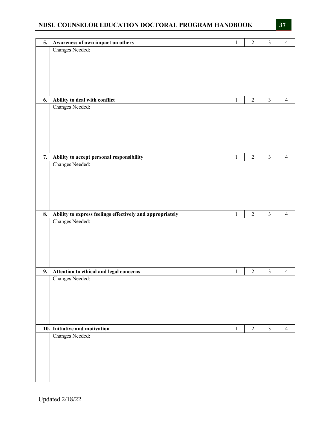|    |                                                           |              | $\sqrt{2}$     | $\mathfrak{Z}$          |                |
|----|-----------------------------------------------------------|--------------|----------------|-------------------------|----------------|
| 5. | Awareness of own impact on others                         | $\,1$        |                |                         | $\overline{4}$ |
|    | Changes Needed:                                           |              |                |                         |                |
|    |                                                           |              |                |                         |                |
|    |                                                           |              |                |                         |                |
|    |                                                           |              |                |                         |                |
|    |                                                           |              |                |                         |                |
|    |                                                           |              |                |                         |                |
|    |                                                           |              |                |                         |                |
| 6. | Ability to deal with conflict                             | $\mathbf{1}$ | $\overline{c}$ | $\mathfrak{Z}$          | $\overline{4}$ |
|    | Changes Needed:                                           |              |                |                         |                |
|    |                                                           |              |                |                         |                |
|    |                                                           |              |                |                         |                |
|    |                                                           |              |                |                         |                |
|    |                                                           |              |                |                         |                |
|    |                                                           |              |                |                         |                |
|    |                                                           |              |                |                         |                |
|    |                                                           |              |                |                         |                |
| 7. | Ability to accept personal responsibility                 | $\,1$        | $\sqrt{2}$     | $\mathfrak{Z}$          | $\overline{4}$ |
|    | Changes Needed:                                           |              |                |                         |                |
|    |                                                           |              |                |                         |                |
|    |                                                           |              |                |                         |                |
|    |                                                           |              |                |                         |                |
|    |                                                           |              |                |                         |                |
|    |                                                           |              |                |                         |                |
|    |                                                           |              |                |                         |                |
|    |                                                           |              |                |                         |                |
| 8. | Ability to express feelings effectively and appropriately | $\,1$        | $\sqrt{2}$     | $\overline{\mathbf{3}}$ | $\overline{4}$ |
|    |                                                           |              |                |                         |                |
|    | Changes Needed:                                           |              |                |                         |                |
|    |                                                           |              |                |                         |                |
|    |                                                           |              |                |                         |                |
|    |                                                           |              |                |                         |                |
|    |                                                           |              |                |                         |                |
|    |                                                           |              |                |                         |                |
|    |                                                           |              |                |                         |                |
|    |                                                           |              |                |                         |                |
|    | 9. Attention to ethical and legal concerns                | $\,1$        | $\sqrt{2}$     | $\mathfrak{Z}$          | $\overline{4}$ |
|    | Changes Needed:                                           |              |                |                         |                |
|    |                                                           |              |                |                         |                |
|    |                                                           |              |                |                         |                |
|    |                                                           |              |                |                         |                |
|    |                                                           |              |                |                         |                |
|    |                                                           |              |                |                         |                |
|    |                                                           |              |                |                         |                |
|    |                                                           |              |                |                         |                |
|    | 10. Initiative and motivation                             | $\,1\,$      | $\overline{2}$ | $\overline{3}$          | $\overline{4}$ |
|    | Changes Needed:                                           |              |                |                         |                |
|    |                                                           |              |                |                         |                |
|    |                                                           |              |                |                         |                |
|    |                                                           |              |                |                         |                |
|    |                                                           |              |                |                         |                |
|    |                                                           |              |                |                         |                |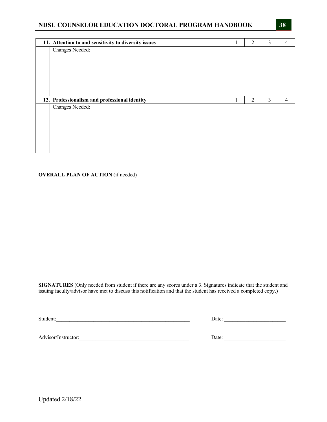| 11. Attention to and sensitivity to diversity issues | Τ. | $\overline{2}$ | 3              | $\overline{4}$ |
|------------------------------------------------------|----|----------------|----------------|----------------|
| Changes Needed:                                      |    |                |                |                |
|                                                      |    |                |                |                |
|                                                      |    |                |                |                |
|                                                      |    |                |                |                |
|                                                      |    |                |                |                |
|                                                      |    |                |                |                |
|                                                      |    |                |                |                |
|                                                      |    |                |                |                |
| 12. Professionalism and professional identity        | 1  | 2              | $\mathfrak{Z}$ | $\overline{4}$ |
| Changes Needed:                                      |    |                |                |                |
|                                                      |    |                |                |                |
|                                                      |    |                |                |                |
|                                                      |    |                |                |                |
|                                                      |    |                |                |                |

#### **OVERALL PLAN OF ACTION** (if needed)

**SIGNATURES** (Only needed from student if there are any scores under a 3. Signatures indicate that the student and issuing faculty/advisor have met to discuss this notification and that the student has received a completed copy.)

Student:\_\_\_\_\_\_\_\_\_\_\_\_\_\_\_\_\_\_\_\_\_\_\_\_\_\_\_\_\_\_\_\_\_\_\_\_\_\_\_\_\_\_\_\_\_\_\_\_\_\_ Date: \_\_\_\_\_\_\_\_\_\_\_\_\_\_\_\_\_\_\_\_\_\_\_

Advisor/Instructor:\_\_\_\_\_\_\_\_\_\_\_\_\_\_\_\_\_\_\_\_\_\_\_\_\_\_\_\_\_\_\_\_\_\_\_\_\_\_\_\_\_ Date: \_\_\_\_\_\_\_\_\_\_\_\_\_\_\_\_\_\_\_\_\_\_\_